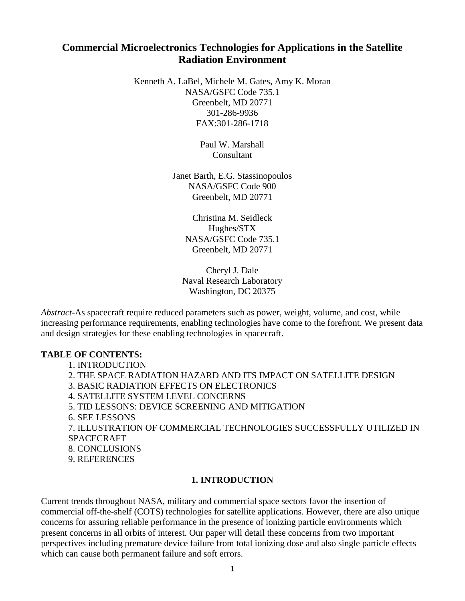# **Commercial Microelectronics Technologies for Applications in the Satellite Radiation Environment**

Kenneth A. LaBel, Michele M. Gates, Amy K. Moran NASA/GSFC Code 735.1 Greenbelt, MD 20771 301-286-9936 FAX:301-286-1718

> Paul W. Marshall Consultant

Janet Barth, E.G. Stassinopoulos NASA/GSFC Code 900 Greenbelt, MD 20771

> Christina M. Seidleck Hughes/STX NASA/GSFC Code 735.1 Greenbelt, MD 20771

Cheryl J. Dale Naval Research Laboratory Washington, DC 20375

*Abstract*-As spacecraft require reduced parameters such as power, weight, volume, and cost, while increasing performance requirements, enabling technologies have come to the forefront. We present data and design strategies for these enabling technologies in spacecraft.

## **TABLE OF CONTENTS:**

1. INTRODUCTION 2. THE SPACE RADIATION HAZARD AND ITS IMPACT ON SATELLITE DESIGN 3. BASIC RADIATION EFFECTS ON ELECTRONICS 4. SATELLITE SYSTEM LEVEL CONCERNS 5. TID LESSONS: DEVICE SCREENING AND MITIGATION 6. SEE LESSONS 7. ILLUSTRATION OF COMMERCIAL TECHNOLOGIES SUCCESSFULLY UTILIZED IN SPACECRAFT 8. CONCLUSIONS 9. REFERENCES

## **1. INTRODUCTION**

Current trends throughout NASA, military and commercial space sectors favor the insertion of commercial off-the-shelf (COTS) technologies for satellite applications. However, there are also unique concerns for assuring reliable performance in the presence of ionizing particle environments which present concerns in all orbits of interest. Our paper will detail these concerns from two important perspectives including premature device failure from total ionizing dose and also single particle effects which can cause both permanent failure and soft errors.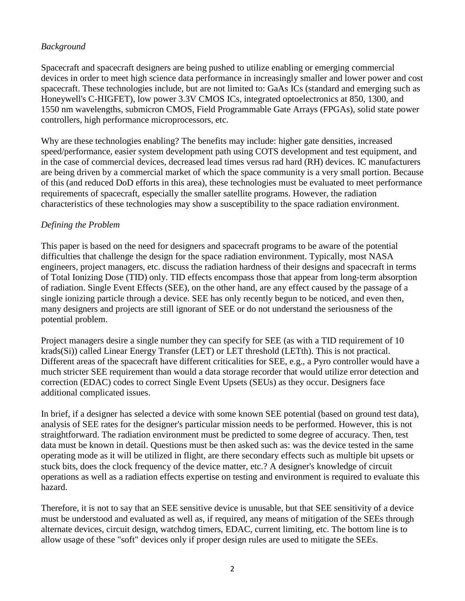## *Background*

Spacecraft and spacecraft designers are being pushed to utilize enabling or emerging commercial devices in order to meet high science data performance in increasingly smaller and lower power and cost spacecraft. These technologies include, but are not limited to: GaAs ICs (standard and emerging such as Honeywell's C-HIGFET), low power 3.3V CMOS ICs, integrated optoelectronics at 850, 1300, and 1550 nm wavelengths, submicron CMOS, Field Programmable Gate Arrays (FPGAs), solid state power controllers, high performance microprocessors, etc.

Why are these technologies enabling? The benefits may include: higher gate densities, increased speed/performance, easier system development path using COTS development and test equipment, and in the case of commercial devices, decreased lead times versus rad hard (RH) devices. IC manufacturers are being driven by a commercial market of which the space community is a very small portion. Because of this (and reduced DoD efforts in this area), these technologies must be evaluated to meet performance requirements of spacecraft, especially the smaller satellite programs. However, the radiation characteristics of these technologies may show a susceptibility to the space radiation environment.

## *Defining the Problem*

This paper is based on the need for designers and spacecraft programs to be aware of the potential difficulties that challenge the design for the space radiation environment. Typically, most NASA engineers, project managers, etc. discuss the radiation hardness of their designs and spacecraft in terms of Total Ionizing Dose (TID) only. TID effects encompass those that appear from long-term absorption of radiation. Single Event Effects (SEE), on the other hand, are any effect caused by the passage of a single ionizing particle through a device. SEE has only recently begun to be noticed, and even then, many designers and projects are still ignorant of SEE or do not understand the seriousness of the potential problem.

Project managers desire a single number they can specify for SEE (as with a TID requirement of 10 krads(Si)) called Linear Energy Transfer (LET) or LET threshold (LETth). This is not practical. Different areas of the spacecraft have different criticalities for SEE, e.g., a Pyro controller would have a much stricter SEE requirement than would a data storage recorder that would utilize error detection and correction (EDAC) codes to correct Single Event Upsets (SEUs) as they occur. Designers face additional complicated issues.

In brief, if a designer has selected a device with some known SEE potential (based on ground test data), analysis of SEE rates for the designer's particular mission needs to be performed. However, this is not straightforward. The radiation environment must be predicted to some degree of accuracy. Then, test data must be known in detail. Questions must be then asked such as: was the device tested in the same operating mode as it will be utilized in flight, are there secondary effects such as multiple bit upsets or stuck bits, does the clock frequency of the device matter, etc.? A designer's knowledge of circuit operations as well as a radiation effects expertise on testing and environment is required to evaluate this hazard.

Therefore, it is not to say that an SEE sensitive device is unusable, but that SEE sensitivity of a device must be understood and evaluated as well as, if required, any means of mitigation of the SEEs through alternate devices, circuit design, watchdog timers, EDAC, current limiting, etc. The bottom line is to allow usage of these "soft" devices only if proper design rules are used to mitigate the SEEs.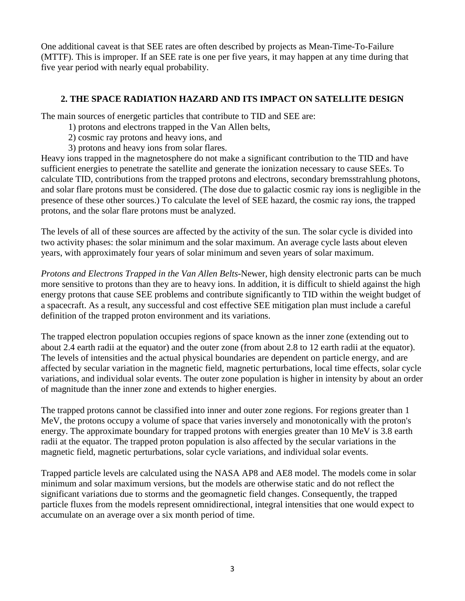One additional caveat is that SEE rates are often described by projects as Mean-Time-To-Failure (MTTF). This is improper. If an SEE rate is one per five years, it may happen at any time during that five year period with nearly equal probability.

## **2. THE SPACE RADIATION HAZARD AND ITS IMPACT ON SATELLITE DESIGN**

The main sources of energetic particles that contribute to TID and SEE are:

- 1) protons and electrons trapped in the Van Allen belts,
- 2) cosmic ray protons and heavy ions, and
- 3) protons and heavy ions from solar flares.

Heavy ions trapped in the magnetosphere do not make a significant contribution to the TID and have sufficient energies to penetrate the satellite and generate the ionization necessary to cause SEEs. To calculate TID, contributions from the trapped protons and electrons, secondary bremsstrahlung photons, and solar flare protons must be considered. (The dose due to galactic cosmic ray ions is negligible in the presence of these other sources.) To calculate the level of SEE hazard, the cosmic ray ions, the trapped protons, and the solar flare protons must be analyzed.

The levels of all of these sources are affected by the activity of the sun. The solar cycle is divided into two activity phases: the solar minimum and the solar maximum. An average cycle lasts about eleven years, with approximately four years of solar minimum and seven years of solar maximum.

*Protons and Electrons Trapped in the Van Allen Belts*-Newer, high density electronic parts can be much more sensitive to protons than they are to heavy ions. In addition, it is difficult to shield against the high energy protons that cause SEE problems and contribute significantly to TID within the weight budget of a spacecraft. As a result, any successful and cost effective SEE mitigation plan must include a careful definition of the trapped proton environment and its variations.

The trapped electron population occupies regions of space known as the inner zone (extending out to about 2.4 earth radii at the equator) and the outer zone (from about 2.8 to 12 earth radii at the equator). The levels of intensities and the actual physical boundaries are dependent on particle energy, and are affected by secular variation in the magnetic field, magnetic perturbations, local time effects, solar cycle variations, and individual solar events. The outer zone population is higher in intensity by about an order of magnitude than the inner zone and extends to higher energies.

The trapped protons cannot be classified into inner and outer zone regions. For regions greater than 1 MeV, the protons occupy a volume of space that varies inversely and monotonically with the proton's energy. The approximate boundary for trapped protons with energies greater than 10 MeV is 3.8 earth radii at the equator. The trapped proton population is also affected by the secular variations in the magnetic field, magnetic perturbations, solar cycle variations, and individual solar events.

Trapped particle levels are calculated using the NASA AP8 and AE8 model. The models come in solar minimum and solar maximum versions, but the models are otherwise static and do not reflect the significant variations due to storms and the geomagnetic field changes. Consequently, the trapped particle fluxes from the models represent omnidirectional, integral intensities that one would expect to accumulate on an average over a six month period of time.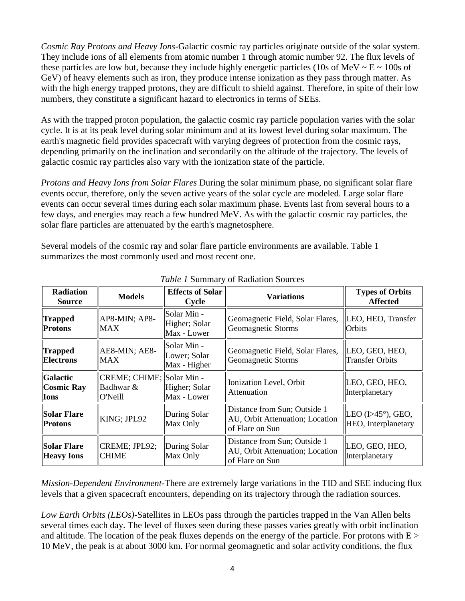*Cosmic Ray Protons and Heavy Ions*-Galactic cosmic ray particles originate outside of the solar system. They include ions of all elements from atomic number 1 through atomic number 92. The flux levels of these particles are low but, because they include highly energetic particles (10s of MeV  $\sim$  E  $\sim$  100s of GeV) of heavy elements such as iron, they produce intense ionization as they pass through matter. As with the high energy trapped protons, they are difficult to shield against. Therefore, in spite of their low numbers, they constitute a significant hazard to electronics in terms of SEEs.

As with the trapped proton population, the galactic cosmic ray particle population varies with the solar cycle. It is at its peak level during solar minimum and at its lowest level during solar maximum. The earth's magnetic field provides spacecraft with varying degrees of protection from the cosmic rays, depending primarily on the inclination and secondarily on the altitude of the trajectory. The levels of galactic cosmic ray particles also vary with the ionization state of the particle.

*Protons and Heavy Ions from Solar Flares* During the solar minimum phase, no significant solar flare events occur, therefore, only the seven active years of the solar cycle are modeled. Large solar flare events can occur several times during each solar maximum phase. Events last from several hours to a few days, and energies may reach a few hundred MeV. As with the galactic cosmic ray particles, the solar flare particles are attenuated by the earth's magnetosphere.

Several models of the cosmic ray and solar flare particle environments are available. Table 1 summarizes the most commonly used and most recent one.

| <b>Radiation</b><br><b>Source</b>                   | <b>Models</b>                                     | <b>Effects of Solar</b><br>Cycle            | <b>Variations</b>                                                                  | <b>Types of Orbits</b><br><b>Affected</b>          |
|-----------------------------------------------------|---------------------------------------------------|---------------------------------------------|------------------------------------------------------------------------------------|----------------------------------------------------|
| <b>Trapped</b><br><b>Protons</b>                    | AP8-MIN; AP8-<br><b>MAX</b>                       | Solar Min -<br>Higher; Solar<br>Max - Lower | Geomagnetic Field, Solar Flares,<br>Geomagnetic Storms                             | LEO, HEO, Transfer<br><b>Orbits</b>                |
| <b>Trapped</b><br><b>Electrons</b>                  | AE8-MIN; AE8-<br><b>MAX</b>                       | Solar Min -<br>Lower; Solar<br>Max - Higher | Geomagnetic Field, Solar Flares,<br>Geomagnetic Storms                             | LEO, GEO, HEO,<br><b>Transfer Orbits</b>           |
| <b>Galactic</b><br><b>Cosmic Ray</b><br><b>Ions</b> | CREME; CHIME; Solar Min -<br>Badhwar &<br>O'Neill | Higher; Solar<br>Max - Lower                | Ionization Level, Orbit<br>Attenuation                                             | LEO, GEO, HEO,<br>Interplanetary                   |
| <b>Solar Flare</b><br><b>Protons</b>                | KING; JPL92                                       | During Solar<br>Max Only                    | Distance from Sun; Outside 1<br>AU, Orbit Attenuation; Location<br>of Flare on Sun | LEO $(I>45^{\circ})$ , GEO,<br>HEO, Interplanetary |
| <b>Solar Flare</b><br><b>Heavy Ions</b>             | CREME; JPL92;<br><b>CHIME</b>                     | During Solar<br>Max Only                    | Distance from Sun; Outside 1<br>AU, Orbit Attenuation; Location<br>of Flare on Sun | LEO, GEO, HEO,<br>Interplanetary                   |

*Table 1* Summary of Radiation Sources

*Mission-Dependent Environment*-There are extremely large variations in the TID and SEE inducing flux levels that a given spacecraft encounters, depending on its trajectory through the radiation sources.

*Low Earth Orbits (LEOs)*-Satellites in LEOs pass through the particles trapped in the Van Allen belts several times each day. The level of fluxes seen during these passes varies greatly with orbit inclination and altitude. The location of the peak fluxes depends on the energy of the particle. For protons with  $E >$ 10 MeV, the peak is at about 3000 km. For normal geomagnetic and solar activity conditions, the flux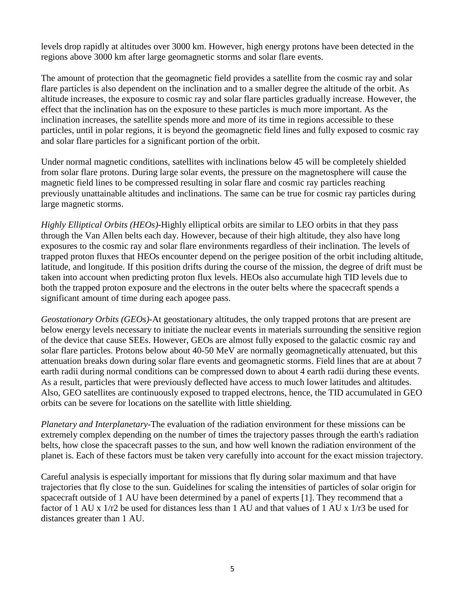levels drop rapidly at altitudes over 3000 km. However, high energy protons have been detected in the regions above 3000 km after large geomagnetic storms and solar flare events.

The amount of protection that the geomagnetic field provides a satellite from the cosmic ray and solar flare particles is also dependent on the inclination and to a smaller degree the altitude of the orbit. As altitude increases, the exposure to cosmic ray and solar flare particles gradually increase. However, the effect that the inclination has on the exposure to these particles is much more important. As the inclination increases, the satellite spends more and more of its time in regions accessible to these particles, until in polar regions, it is beyond the geomagnetic field lines and fully exposed to cosmic ray and solar flare particles for a significant portion of the orbit.

Under normal magnetic conditions, satellites with inclinations below 45 will be completely shielded from solar flare protons. During large solar events, the pressure on the magnetosphere will cause the magnetic field lines to be compressed resulting in solar flare and cosmic ray particles reaching previously unattainable altitudes and inclinations. The same can be true for cosmic ray particles during large magnetic storms.

*Highly Elliptical Orbits (HEOs)*-Highly elliptical orbits are similar to LEO orbits in that they pass through the Van Allen belts each day. However, because of their high altitude, they also have long exposures to the cosmic ray and solar flare environments regardless of their inclination. The levels of trapped proton fluxes that HEOs encounter depend on the perigee position of the orbit including altitude, latitude, and longitude. If this position drifts during the course of the mission, the degree of drift must be taken into account when predicting proton flux levels. HEOs also accumulate high TID levels due to both the trapped proton exposure and the electrons in the outer belts where the spacecraft spends a significant amount of time during each apogee pass.

*Geostationary Orbits (GEOs)*-At geostationary altitudes, the only trapped protons that are present are below energy levels necessary to initiate the nuclear events in materials surrounding the sensitive region of the device that cause SEEs. However, GEOs are almost fully exposed to the galactic cosmic ray and solar flare particles. Protons below about 40-50 MeV are normally geomagnetically attenuated, but this attenuation breaks down during solar flare events and geomagnetic storms. Field lines that are at about 7 earth radii during normal conditions can be compressed down to about 4 earth radii during these events. As a result, particles that were previously deflected have access to much lower latitudes and altitudes. Also, GEO satellites are continuously exposed to trapped electrons, hence, the TID accumulated in GEO orbits can be severe for locations on the satellite with little shielding.

*Planetary and Interplanetary*-The evaluation of the radiation environment for these missions can be extremely complex depending on the number of times the trajectory passes through the earth's radiation belts, how close the spacecraft passes to the sun, and how well known the radiation environment of the planet is. Each of these factors must be taken very carefully into account for the exact mission trajectory.

Careful analysis is especially important for missions that fly during solar maximum and that have trajectories that fly close to the sun. Guidelines for scaling the intensities of particles of solar origin for spacecraft outside of 1 AU have been determined by a panel of experts [1]. They recommend that a factor of 1 AU x 1/r2 be used for distances less than 1 AU and that values of 1 AU x 1/r3 be used for distances greater than 1 AU.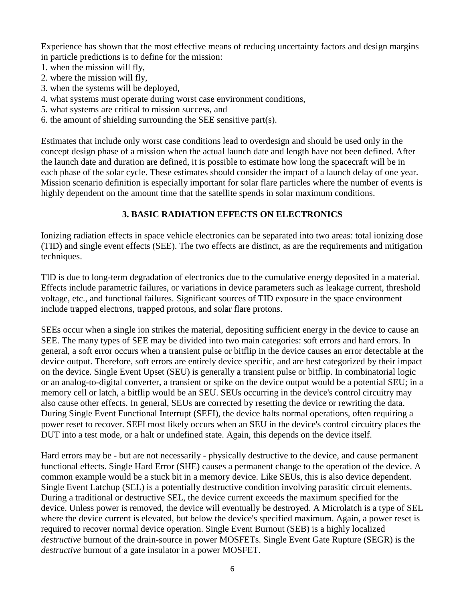Experience has shown that the most effective means of reducing uncertainty factors and design margins in particle predictions is to define for the mission:

- 1. when the mission will fly,
- 2. where the mission will fly,
- 3. when the systems will be deployed,
- 4. what systems must operate during worst case environment conditions,
- 5. what systems are critical to mission success, and
- 6. the amount of shielding surrounding the SEE sensitive part(s).

Estimates that include only worst case conditions lead to overdesign and should be used only in the concept design phase of a mission when the actual launch date and length have not been defined. After the launch date and duration are defined, it is possible to estimate how long the spacecraft will be in each phase of the solar cycle. These estimates should consider the impact of a launch delay of one year. Mission scenario definition is especially important for solar flare particles where the number of events is highly dependent on the amount time that the satellite spends in solar maximum conditions.

## **3. BASIC RADIATION EFFECTS ON ELECTRONICS**

Ionizing radiation effects in space vehicle electronics can be separated into two areas: total ionizing dose (TID) and single event effects (SEE). The two effects are distinct, as are the requirements and mitigation techniques.

TID is due to long-term degradation of electronics due to the cumulative energy deposited in a material. Effects include parametric failures, or variations in device parameters such as leakage current, threshold voltage, etc., and functional failures. Significant sources of TID exposure in the space environment include trapped electrons, trapped protons, and solar flare protons.

SEEs occur when a single ion strikes the material, depositing sufficient energy in the device to cause an SEE. The many types of SEE may be divided into two main categories: soft errors and hard errors. In general, a soft error occurs when a transient pulse or bitflip in the device causes an error detectable at the device output. Therefore, soft errors are entirely device specific, and are best categorized by their impact on the device. Single Event Upset (SEU) is generally a transient pulse or bitflip. In combinatorial logic or an analog-to-digital converter, a transient or spike on the device output would be a potential SEU; in a memory cell or latch, a bitflip would be an SEU. SEUs occurring in the device's control circuitry may also cause other effects. In general, SEUs are corrected by resetting the device or rewriting the data. During Single Event Functional Interrupt (SEFI), the device halts normal operations, often requiring a power reset to recover. SEFI most likely occurs when an SEU in the device's control circuitry places the DUT into a test mode, or a halt or undefined state. Again, this depends on the device itself.

Hard errors may be - but are not necessarily - physically destructive to the device, and cause permanent functional effects. Single Hard Error (SHE) causes a permanent change to the operation of the device. A common example would be a stuck bit in a memory device. Like SEUs, this is also device dependent. Single Event Latchup (SEL) is a potentially destructive condition involving parasitic circuit elements. During a traditional or destructive SEL, the device current exceeds the maximum specified for the device. Unless power is removed, the device will eventually be destroyed. A Microlatch is a type of SEL where the device current is elevated, but below the device's specified maximum. Again, a power reset is required to recover normal device operation. Single Event Burnout (SEB) is a highly localized *destructive* burnout of the drain-source in power MOSFETs. Single Event Gate Rupture (SEGR) is the *destructive* burnout of a gate insulator in a power MOSFET.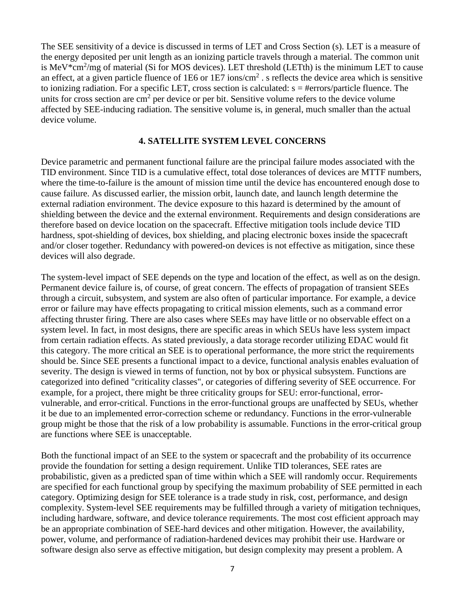The SEE sensitivity of a device is discussed in terms of LET and Cross Section (s). LET is a measure of the energy deposited per unit length as an ionizing particle travels through a material. The common unit is MeV $*$ cm<sup>2</sup>/mg of material (Si for MOS devices). LET threshold (LETth) is the minimum LET to cause an effect, at a given particle fluence of 1E6 or  $1E7 \text{ ions/cm}^2$ . s reflects the device area which is sensitive to ionizing radiation. For a specific LET, cross section is calculated:  $s = #errors/particle$  fluence. The units for cross section are  $cm<sup>2</sup>$  per device or per bit. Sensitive volume refers to the device volume affected by SEE-inducing radiation. The sensitive volume is, in general, much smaller than the actual device volume.

#### **4. SATELLITE SYSTEM LEVEL CONCERNS**

Device parametric and permanent functional failure are the principal failure modes associated with the TID environment. Since TID is a cumulative effect, total dose tolerances of devices are MTTF numbers, where the time-to-failure is the amount of mission time until the device has encountered enough dose to cause failure. As discussed earlier, the mission orbit, launch date, and launch length determine the external radiation environment. The device exposure to this hazard is determined by the amount of shielding between the device and the external environment. Requirements and design considerations are therefore based on device location on the spacecraft. Effective mitigation tools include device TID hardness, spot-shielding of devices, box shielding, and placing electronic boxes inside the spacecraft and/or closer together. Redundancy with powered-on devices is not effective as mitigation, since these devices will also degrade.

The system-level impact of SEE depends on the type and location of the effect, as well as on the design. Permanent device failure is, of course, of great concern. The effects of propagation of transient SEEs through a circuit, subsystem, and system are also often of particular importance. For example, a device error or failure may have effects propagating to critical mission elements, such as a command error affecting thruster firing. There are also cases where SEEs may have little or no observable effect on a system level. In fact, in most designs, there are specific areas in which SEUs have less system impact from certain radiation effects. As stated previously, a data storage recorder utilizing EDAC would fit this category. The more critical an SEE is to operational performance, the more strict the requirements should be. Since SEE presents a functional impact to a device, functional analysis enables evaluation of severity. The design is viewed in terms of function, not by box or physical subsystem. Functions are categorized into defined "criticality classes", or categories of differing severity of SEE occurrence. For example, for a project, there might be three criticality groups for SEU: error-functional, errorvulnerable, and error-critical. Functions in the error-functional groups are unaffected by SEUs, whether it be due to an implemented error-correction scheme or redundancy. Functions in the error-vulnerable group might be those that the risk of a low probability is assumable. Functions in the error-critical group are functions where SEE is unacceptable.

Both the functional impact of an SEE to the system or spacecraft and the probability of its occurrence provide the foundation for setting a design requirement. Unlike TID tolerances, SEE rates are probabilistic, given as a predicted span of time within which a SEE will randomly occur. Requirements are specified for each functional group by specifying the maximum probability of SEE permitted in each category. Optimizing design for SEE tolerance is a trade study in risk, cost, performance, and design complexity. System-level SEE requirements may be fulfilled through a variety of mitigation techniques, including hardware, software, and device tolerance requirements. The most cost efficient approach may be an appropriate combination of SEE-hard devices and other mitigation. However, the availability, power, volume, and performance of radiation-hardened devices may prohibit their use. Hardware or software design also serve as effective mitigation, but design complexity may present a problem. A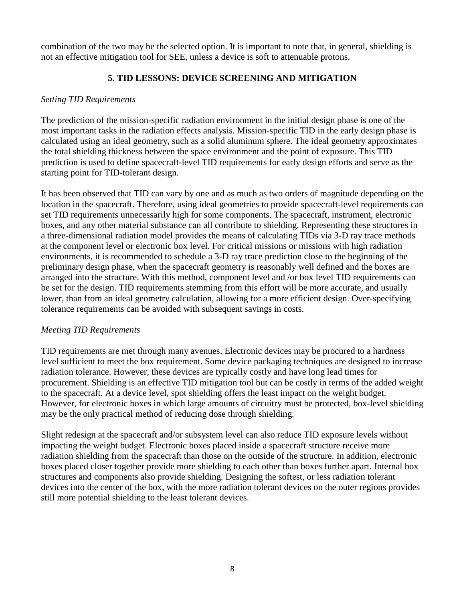combination of the two may be the selected option. It is important to note that, in general, shielding is not an effective mitigation tool for SEE, unless a device is soft to attenuable protons.

## **5. TID LESSONS: DEVICE SCREENING AND MITIGATION**

## *Setting TID Requirements*

The prediction of the mission-specific radiation environment in the initial design phase is one of the most important tasks in the radiation effects analysis. Mission-specific TID in the early design phase is calculated using an ideal geometry, such as a solid aluminum sphere. The ideal geometry approximates the total shielding thickness between the space environment and the point of exposure. This TID prediction is used to define spacecraft-level TID requirements for early design efforts and serve as the starting point for TID-tolerant design.

It has been observed that TID can vary by one and as much as two orders of magnitude depending on the location in the spacecraft. Therefore, using ideal geometries to provide spacecraft-level requirements can set TID requirements unnecessarily high for some components. The spacecraft, instrument, electronic boxes, and any other material substance can all contribute to shielding. Representing these structures in a three-dimensional radiation model provides the means of calculating TIDs via 3-D ray trace methods at the component level or electronic box level. For critical missions or missions with high radiation environments, it is recommended to schedule a 3-D ray trace prediction close to the beginning of the preliminary design phase, when the spacecraft geometry is reasonably well defined and the boxes are arranged into the structure. With this method, component level and /or box level TID requirements can be set for the design. TID requirements stemming from this effort will be more accurate, and usually lower, than from an ideal geometry calculation, allowing for a more efficient design. Over-specifying tolerance requirements can be avoided with subsequent savings in costs.

## *Meeting TID Requirements*

TID requirements are met through many avenues. Electronic devices may be procured to a hardness level sufficient to meet the box requirement. Some device packaging techniques are designed to increase radiation tolerance. However, these devices are typically costly and have long lead times for procurement. Shielding is an effective TID mitigation tool but can be costly in terms of the added weight to the spacecraft. At a device level, spot shielding offers the least impact on the weight budget. However, for electronic boxes in which large amounts of circuitry must be protected, box-level shielding may be the only practical method of reducing dose through shielding.

Slight redesign at the spacecraft and/or subsystem level can also reduce TID exposure levels without impacting the weight budget. Electronic boxes placed inside a spacecraft structure receive more radiation shielding from the spacecraft than those on the outside of the structure. In addition, electronic boxes placed closer together provide more shielding to each other than boxes further apart. Internal box structures and components also provide shielding. Designing the softest, or less radiation tolerant devices into the center of the box, with the more radiation tolerant devices on the outer regions provides still more potential shielding to the least tolerant devices.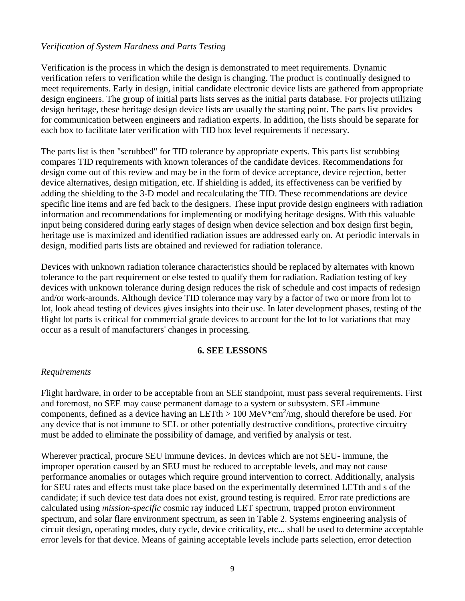### *Verification of System Hardness and Parts Testing*

Verification is the process in which the design is demonstrated to meet requirements. Dynamic verification refers to verification while the design is changing. The product is continually designed to meet requirements. Early in design, initial candidate electronic device lists are gathered from appropriate design engineers. The group of initial parts lists serves as the initial parts database. For projects utilizing design heritage, these heritage design device lists are usually the starting point. The parts list provides for communication between engineers and radiation experts. In addition, the lists should be separate for each box to facilitate later verification with TID box level requirements if necessary.

The parts list is then "scrubbed" for TID tolerance by appropriate experts. This parts list scrubbing compares TID requirements with known tolerances of the candidate devices. Recommendations for design come out of this review and may be in the form of device acceptance, device rejection, better device alternatives, design mitigation, etc. If shielding is added, its effectiveness can be verified by adding the shielding to the 3-D model and recalculating the TID. These recommendations are device specific line items and are fed back to the designers. These input provide design engineers with radiation information and recommendations for implementing or modifying heritage designs. With this valuable input being considered during early stages of design when device selection and box design first begin, heritage use is maximized and identified radiation issues are addressed early on. At periodic intervals in design, modified parts lists are obtained and reviewed for radiation tolerance.

Devices with unknown radiation tolerance characteristics should be replaced by alternates with known tolerance to the part requirement or else tested to qualify them for radiation. Radiation testing of key devices with unknown tolerance during design reduces the risk of schedule and cost impacts of redesign and/or work-arounds. Although device TID tolerance may vary by a factor of two or more from lot to lot, look ahead testing of devices gives insights into their use. In later development phases, testing of the flight lot parts is critical for commercial grade devices to account for the lot to lot variations that may occur as a result of manufacturers' changes in processing.

### **6. SEE LESSONS**

#### *Requirements*

Flight hardware, in order to be acceptable from an SEE standpoint, must pass several requirements. First and foremost, no SEE may cause permanent damage to a system or subsystem. SEL-immune components, defined as a device having an LETth  $> 100 \text{ MeV}^* \text{cm}^2/\text{mg}$ , should therefore be used. For any device that is not immune to SEL or other potentially destructive conditions, protective circuitry must be added to eliminate the possibility of damage, and verified by analysis or test.

Wherever practical, procure SEU immune devices. In devices which are not SEU- immune, the improper operation caused by an SEU must be reduced to acceptable levels, and may not cause performance anomalies or outages which require ground intervention to correct. Additionally, analysis for SEU rates and effects must take place based on the experimentally determined LETth and s of the candidate; if such device test data does not exist, ground testing is required. Error rate predictions are calculated using *mission-specific* cosmic ray induced LET spectrum, trapped proton environment spectrum, and solar flare environment spectrum, as seen in Table 2. Systems engineering analysis of circuit design, operating modes, duty cycle, device criticality, etc... shall be used to determine acceptable error levels for that device. Means of gaining acceptable levels include parts selection, error detection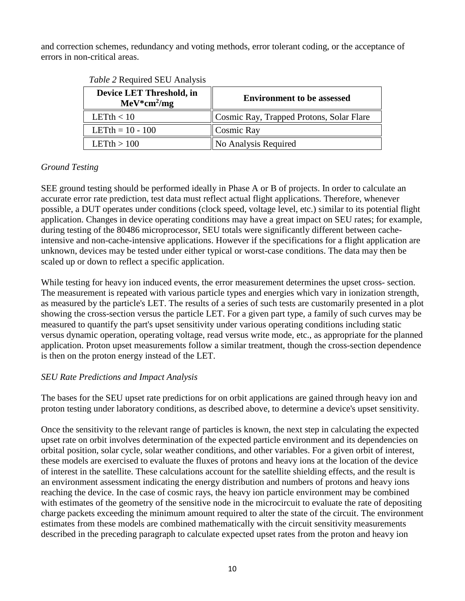and correction schemes, redundancy and voting methods, error tolerant coding, or the acceptance of errors in non-critical areas.

| Device LET Threshold, in<br>$MeV*cm2/mg$ | <b>Environment to be assessed</b>        |  |
|------------------------------------------|------------------------------------------|--|
| LETth $< 10$                             | Cosmic Ray, Trapped Protons, Solar Flare |  |
| LETth = $10 - 100$                       | Cosmic Ray                               |  |
| LETth > 100                              | No Analysis Required                     |  |

| Table 2 Required SEU Analysis |  |  |  |
|-------------------------------|--|--|--|
|                               |  |  |  |

## *Ground Testing*

SEE ground testing should be performed ideally in Phase A or B of projects. In order to calculate an accurate error rate prediction, test data must reflect actual flight applications. Therefore, whenever possible, a DUT operates under conditions (clock speed, voltage level, etc.) similar to its potential flight application. Changes in device operating conditions may have a great impact on SEU rates; for example, during testing of the 80486 microprocessor, SEU totals were significantly different between cacheintensive and non-cache-intensive applications. However if the specifications for a flight application are unknown, devices may be tested under either typical or worst-case conditions. The data may then be scaled up or down to reflect a specific application.

While testing for heavy ion induced events, the error measurement determines the upset cross- section. The measurement is repeated with various particle types and energies which vary in ionization strength, as measured by the particle's LET. The results of a series of such tests are customarily presented in a plot showing the cross-section versus the particle LET. For a given part type, a family of such curves may be measured to quantify the part's upset sensitivity under various operating conditions including static versus dynamic operation, operating voltage, read versus write mode, etc., as appropriate for the planned application. Proton upset measurements follow a similar treatment, though the cross-section dependence is then on the proton energy instead of the LET.

## *SEU Rate Predictions and Impact Analysis*

The bases for the SEU upset rate predictions for on orbit applications are gained through heavy ion and proton testing under laboratory conditions, as described above, to determine a device's upset sensitivity.

Once the sensitivity to the relevant range of particles is known, the next step in calculating the expected upset rate on orbit involves determination of the expected particle environment and its dependencies on orbital position, solar cycle, solar weather conditions, and other variables. For a given orbit of interest, these models are exercised to evaluate the fluxes of protons and heavy ions at the location of the device of interest in the satellite. These calculations account for the satellite shielding effects, and the result is an environment assessment indicating the energy distribution and numbers of protons and heavy ions reaching the device. In the case of cosmic rays, the heavy ion particle environment may be combined with estimates of the geometry of the sensitive node in the microcircuit to evaluate the rate of depositing charge packets exceeding the minimum amount required to alter the state of the circuit. The environment estimates from these models are combined mathematically with the circuit sensitivity measurements described in the preceding paragraph to calculate expected upset rates from the proton and heavy ion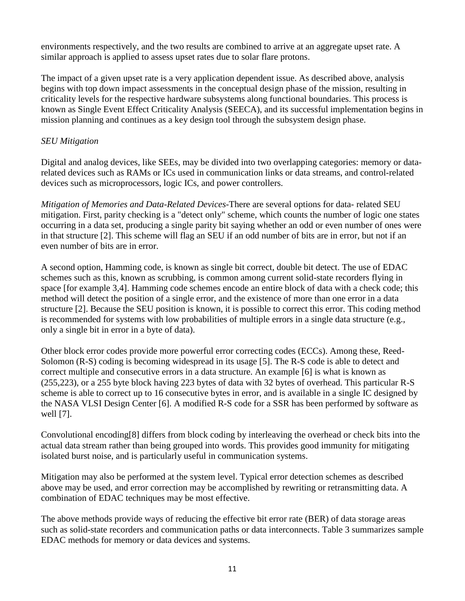environments respectively, and the two results are combined to arrive at an aggregate upset rate. A similar approach is applied to assess upset rates due to solar flare protons.

The impact of a given upset rate is a very application dependent issue. As described above, analysis begins with top down impact assessments in the conceptual design phase of the mission, resulting in criticality levels for the respective hardware subsystems along functional boundaries. This process is known as Single Event Effect Criticality Analysis (SEECA), and its successful implementation begins in mission planning and continues as a key design tool through the subsystem design phase.

## *SEU Mitigation*

Digital and analog devices, like SEEs, may be divided into two overlapping categories: memory or datarelated devices such as RAMs or ICs used in communication links or data streams, and control-related devices such as microprocessors, logic ICs, and power controllers.

*Mitigation of Memories and Data-Related Devices*-There are several options for data- related SEU mitigation. First, parity checking is a "detect only" scheme, which counts the number of logic one states occurring in a data set, producing a single parity bit saying whether an odd or even number of ones were in that structure [2]. This scheme will flag an SEU if an odd number of bits are in error, but not if an even number of bits are in error.

A second option, Hamming code, is known as single bit correct, double bit detect. The use of EDAC schemes such as this, known as scrubbing, is common among current solid-state recorders flying in space [for example 3,4]. Hamming code schemes encode an entire block of data with a check code; this method will detect the position of a single error, and the existence of more than one error in a data structure [2]. Because the SEU position is known, it is possible to correct this error. This coding method is recommended for systems with low probabilities of multiple errors in a single data structure (e.g., only a single bit in error in a byte of data).

Other block error codes provide more powerful error correcting codes (ECCs). Among these, Reed-Solomon (R-S) coding is becoming widespread in its usage [5]. The R-S code is able to detect and correct multiple and consecutive errors in a data structure. An example [6] is what is known as (255,223), or a 255 byte block having 223 bytes of data with 32 bytes of overhead. This particular R-S scheme is able to correct up to 16 consecutive bytes in error, and is available in a single IC designed by the NASA VLSI Design Center [6]. A modified R-S code for a SSR has been performed by software as well [7].

Convolutional encoding[8] differs from block coding by interleaving the overhead or check bits into the actual data stream rather than being grouped into words. This provides good immunity for mitigating isolated burst noise, and is particularly useful in communication systems.

Mitigation may also be performed at the system level. Typical error detection schemes as described above may be used, and error correction may be accomplished by rewriting or retransmitting data. A combination of EDAC techniques may be most effective.

The above methods provide ways of reducing the effective bit error rate (BER) of data storage areas such as solid-state recorders and communication paths or data interconnects. Table 3 summarizes sample EDAC methods for memory or data devices and systems.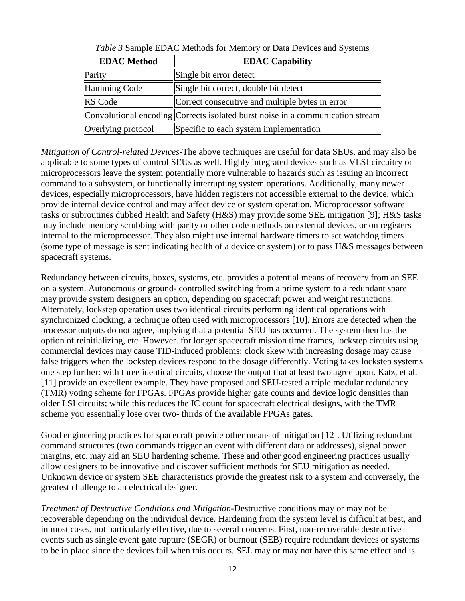| <b>EDAC Method</b>  | <b>EDAC</b> Capability                                                         |  |  |
|---------------------|--------------------------------------------------------------------------------|--|--|
| Parity              | Single bit error detect                                                        |  |  |
| <b>Hamming Code</b> | Single bit correct, double bit detect                                          |  |  |
| <b>RS</b> Code      | Correct consecutive and multiple bytes in error                                |  |  |
|                     | Convolutional encoding Corrects isolated burst noise in a communication stream |  |  |
| Overlying protocol  | Specific to each system implementation                                         |  |  |

*Table 3* Sample EDAC Methods for Memory or Data Devices and Systems

*Mitigation of Control-related Devices*-The above techniques are useful for data SEUs, and may also be applicable to some types of control SEUs as well. Highly integrated devices such as VLSI circuitry or microprocessors leave the system potentially more vulnerable to hazards such as issuing an incorrect command to a subsystem, or functionally interrupting system operations. Additionally, many newer devices, especially microprocessors, have hidden registers not accessible external to the device, which provide internal device control and may affect device or system operation. Microprocessor software tasks or subroutines dubbed Health and Safety (H&S) may provide some SEE mitigation [9]; H&S tasks may include memory scrubbing with parity or other code methods on external devices, or on registers internal to the microprocessor. They also might use internal hardware timers to set watchdog timers (some type of message is sent indicating health of a device or system) or to pass H&S messages between spacecraft systems.

Redundancy between circuits, boxes, systems, etc. provides a potential means of recovery from an SEE on a system. Autonomous or ground- controlled switching from a prime system to a redundant spare may provide system designers an option, depending on spacecraft power and weight restrictions. Alternately, lockstep operation uses two identical circuits performing identical operations with synchronized clocking, a technique often used with microprocessors [10]. Errors are detected when the processor outputs do not agree, implying that a potential SEU has occurred. The system then has the option of reinitializing, etc. However. for longer spacecraft mission time frames, lockstep circuits using commercial devices may cause TID-induced problems; clock skew with increasing dosage may cause false triggers when the lockstep devices respond to the dosage differently. Voting takes lockstep systems one step further: with three identical circuits, choose the output that at least two agree upon. Katz, et al. [11] provide an excellent example. They have proposed and SEU-tested a triple modular redundancy (TMR) voting scheme for FPGAs. FPGAs provide higher gate counts and device logic densities than older LSI circuits; while this reduces the IC count for spacecraft electrical designs, with the TMR scheme you essentially lose over two- thirds of the available FPGAs gates.

Good engineering practices for spacecraft provide other means of mitigation [12]. Utilizing redundant command structures (two commands trigger an event with different data or addresses), signal power margins, etc. may aid an SEU hardening scheme. These and other good engineering practices usually allow designers to be innovative and discover sufficient methods for SEU mitigation as needed. Unknown device or system SEE characteristics provide the greatest risk to a system and conversely, the greatest challenge to an electrical designer.

*Treatment of Destructive Conditions and Mitigation*-Destructive conditions may or may not be recoverable depending on the individual device. Hardening from the system level is difficult at best, and in most cases, not particularly effective, due to several concerns. First, non-recoverable destructive events such as single event gate rupture (SEGR) or burnout (SEB) require redundant devices or systems to be in place since the devices fail when this occurs. SEL may or may not have this same effect and is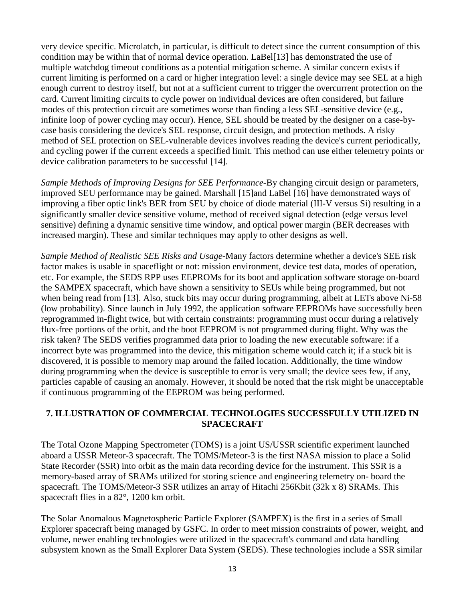very device specific. Microlatch, in particular, is difficult to detect since the current consumption of this condition may be within that of normal device operation. LaBel[13] has demonstrated the use of multiple watchdog timeout conditions as a potential mitigation scheme. A similar concern exists if current limiting is performed on a card or higher integration level: a single device may see SEL at a high enough current to destroy itself, but not at a sufficient current to trigger the overcurrent protection on the card. Current limiting circuits to cycle power on individual devices are often considered, but failure modes of this protection circuit are sometimes worse than finding a less SEL-sensitive device (e.g., infinite loop of power cycling may occur). Hence, SEL should be treated by the designer on a case-bycase basis considering the device's SEL response, circuit design, and protection methods. A risky method of SEL protection on SEL-vulnerable devices involves reading the device's current periodically, and cycling power if the current exceeds a specified limit. This method can use either telemetry points or device calibration parameters to be successful [14].

*Sample Methods of Improving Designs for SEE Performance*-By changing circuit design or parameters, improved SEU performance may be gained. Marshall [15]and LaBel [16] have demonstrated ways of improving a fiber optic link's BER from SEU by choice of diode material (III-V versus Si) resulting in a significantly smaller device sensitive volume, method of received signal detection (edge versus level sensitive) defining a dynamic sensitive time window, and optical power margin (BER decreases with increased margin). These and similar techniques may apply to other designs as well.

*Sample Method of Realistic SEE Risks and Usage*-Many factors determine whether a device's SEE risk factor makes is usable in spaceflight or not: mission environment, device test data, modes of operation, etc. For example, the SEDS RPP uses EEPROMs for its boot and application software storage on-board the SAMPEX spacecraft, which have shown a sensitivity to SEUs while being programmed, but not when being read from [13]. Also, stuck bits may occur during programming, albeit at LETs above Ni-58 (low probability). Since launch in July 1992, the application software EEPROMs have successfully been reprogrammed in-flight twice, but with certain constraints: programming must occur during a relatively flux-free portions of the orbit, and the boot EEPROM is not programmed during flight. Why was the risk taken? The SEDS verifies programmed data prior to loading the new executable software: if a incorrect byte was programmed into the device, this mitigation scheme would catch it; if a stuck bit is discovered, it is possible to memory map around the failed location. Additionally, the time window during programming when the device is susceptible to error is very small; the device sees few, if any, particles capable of causing an anomaly. However, it should be noted that the risk might be unacceptable if continuous programming of the EEPROM was being performed.

## **7. ILLUSTRATION OF COMMERCIAL TECHNOLOGIES SUCCESSFULLY UTILIZED IN SPACECRAFT**

The Total Ozone Mapping Spectrometer (TOMS) is a joint US/USSR scientific experiment launched aboard a USSR Meteor-3 spacecraft. The TOMS/Meteor-3 is the first NASA mission to place a Solid State Recorder (SSR) into orbit as the main data recording device for the instrument. This SSR is a memory-based array of SRAMs utilized for storing science and engineering telemetry on- board the spacecraft. The TOMS/Meteor-3 SSR utilizes an array of Hitachi 256Kbit (32k x 8) SRAMs. This spacecraft flies in a 82°, 1200 km orbit.

The Solar Anomalous Magnetospheric Particle Explorer (SAMPEX) is the first in a series of Small Explorer spacecraft being managed by GSFC. In order to meet mission constraints of power, weight, and volume, newer enabling technologies were utilized in the spacecraft's command and data handling subsystem known as the Small Explorer Data System (SEDS). These technologies include a SSR similar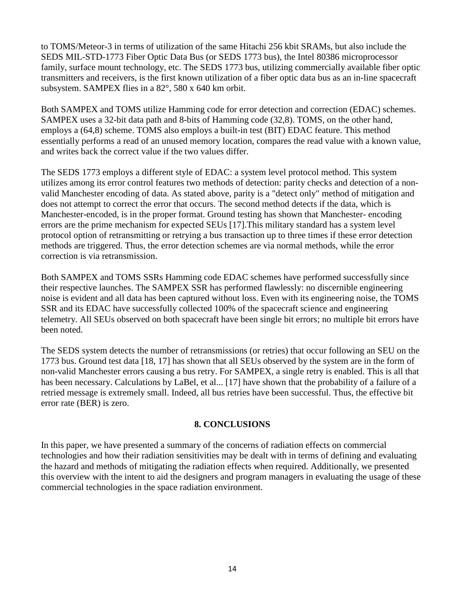to TOMS/Meteor-3 in terms of utilization of the same Hitachi 256 kbit SRAMs, but also include the SEDS MIL-STD-1773 Fiber Optic Data Bus (or SEDS 1773 bus), the Intel 80386 microprocessor family, surface mount technology, etc. The SEDS 1773 bus, utilizing commercially available fiber optic transmitters and receivers, is the first known utilization of a fiber optic data bus as an in-line spacecraft subsystem. SAMPEX flies in a 82°, 580 x 640 km orbit.

Both SAMPEX and TOMS utilize Hamming code for error detection and correction (EDAC) schemes. SAMPEX uses a 32-bit data path and 8-bits of Hamming code (32,8). TOMS, on the other hand, employs a (64,8) scheme. TOMS also employs a built-in test (BIT) EDAC feature. This method essentially performs a read of an unused memory location, compares the read value with a known value, and writes back the correct value if the two values differ.

The SEDS 1773 employs a different style of EDAC: a system level protocol method. This system utilizes among its error control features two methods of detection: parity checks and detection of a nonvalid Manchester encoding of data. As stated above, parity is a "detect only" method of mitigation and does not attempt to correct the error that occurs. The second method detects if the data, which is Manchester-encoded, is in the proper format. Ground testing has shown that Manchester- encoding errors are the prime mechanism for expected SEUs [17].This military standard has a system level protocol option of retransmitting or retrying a bus transaction up to three times if these error detection methods are triggered. Thus, the error detection schemes are via normal methods, while the error correction is via retransmission.

Both SAMPEX and TOMS SSRs Hamming code EDAC schemes have performed successfully since their respective launches. The SAMPEX SSR has performed flawlessly: no discernible engineering noise is evident and all data has been captured without loss. Even with its engineering noise, the TOMS SSR and its EDAC have successfully collected 100% of the spacecraft science and engineering telemetry. All SEUs observed on both spacecraft have been single bit errors; no multiple bit errors have been noted.

The SEDS system detects the number of retransmissions (or retries) that occur following an SEU on the 1773 bus. Ground test data [18, 17] has shown that all SEUs observed by the system are in the form of non-valid Manchester errors causing a bus retry. For SAMPEX, a single retry is enabled. This is all that has been necessary. Calculations by LaBel, et al... [17] have shown that the probability of a failure of a retried message is extremely small. Indeed, all bus retries have been successful. Thus, the effective bit error rate (BER) is zero.

## **8. CONCLUSIONS**

In this paper, we have presented a summary of the concerns of radiation effects on commercial technologies and how their radiation sensitivities may be dealt with in terms of defining and evaluating the hazard and methods of mitigating the radiation effects when required. Additionally, we presented this overview with the intent to aid the designers and program managers in evaluating the usage of these commercial technologies in the space radiation environment.